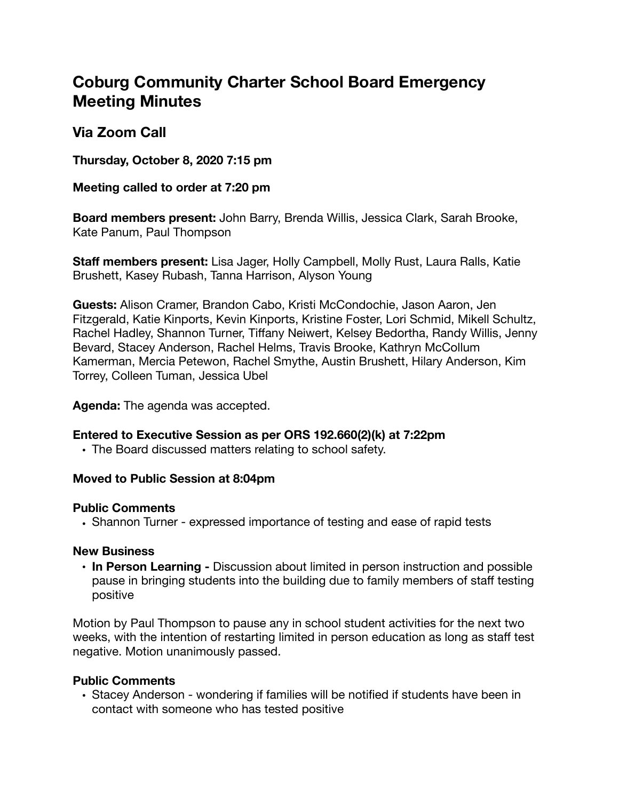# **Coburg Community Charter School Board Emergency Meeting Minutes**

# **Via Zoom Call**

**Thursday, October 8, 2020 7:15 pm** 

## **Meeting called to order at 7:20 pm**

**Board members present:** John Barry, Brenda Willis, Jessica Clark, Sarah Brooke, Kate Panum, Paul Thompson

**Staff members present:** Lisa Jager, Holly Campbell, Molly Rust, Laura Ralls, Katie Brushett, Kasey Rubash, Tanna Harrison, Alyson Young

**Guests:** Alison Cramer, Brandon Cabo, Kristi McCondochie, Jason Aaron, Jen Fitzgerald, Katie Kinports, Kevin Kinports, Kristine Foster, Lori Schmid, Mikell Schultz, Rachel Hadley, Shannon Turner, Tiffany Neiwert, Kelsey Bedortha, Randy Willis, Jenny Bevard, Stacey Anderson, Rachel Helms, Travis Brooke, Kathryn McCollum Kamerman, Mercia Petewon, Rachel Smythe, Austin Brushett, Hilary Anderson, Kim Torrey, Colleen Tuman, Jessica Ubel

#### **Agenda:** The agenda was accepted.

# **Entered to Executive Session as per ORS 192.660(2)(k) at 7:22pm**

• The Board discussed matters relating to school safety.

#### **Moved to Public Session at 8:04pm**

#### **Public Comments**

**•** Shannon Turner - expressed importance of testing and ease of rapid tests

#### **New Business**

**• In Person Learning -** Discussion about limited in person instruction and possible pause in bringing students into the building due to family members of staff testing positive

Motion by Paul Thompson to pause any in school student activities for the next two weeks, with the intention of restarting limited in person education as long as staff test negative. Motion unanimously passed.

# **Public Comments**

• Stacey Anderson - wondering if families will be notified if students have been in contact with someone who has tested positive